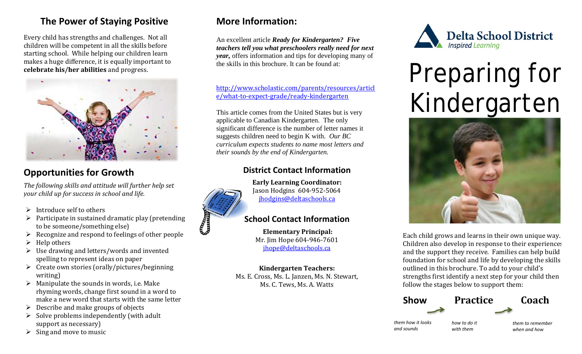## **The Power of Staying Positive**

Every child has strengths and challenges. Not all children will be competent in all the skills before starting school. While helping our children learn makes a huge difference, it is equally important to **celebrate his/her abilities** and progress.



## **Opportunities for Growth**

*The following skills and attitude will further help set your child up for success in school and life.* 

- $\triangleright$  Introduce self to others
- $\triangleright$  Participate in sustained dramatic play (pretending to be someone/something else)
- Recognize and respond to feelings of other people<br>  $\triangleright$  Help others
- Help others
- $\triangleright$  Use drawing and letters/words and invented spelling to represent ideas on paper
- $\triangleright$  Create own stories (orally/pictures/beginning writing)
- $\triangleright$  Manipulate the sounds in words, i.e. Make rhyming words, change first sound in a word to make a new word that starts with the same letter
- $\triangleright$  Describe and make groups of objects
- $\triangleright$  Solve problems independently (with adult support as necessary)
- $\triangleright$  Sing and move to music

## **More Information:**

An excellent article *Ready for Kindergarten? Five teachers tell you what preschoolers really need for next year,* offers information and tips for developing many of the skills in this brochure. It can be found at:

[http://www.scholastic.com/parents/resources/articl](http://www.scholastic.com/parents/resources/article/what-to-expect-grade/ready-kindergarten) [e/what-to-expect-grade/ready-kindergarten](http://www.scholastic.com/parents/resources/article/what-to-expect-grade/ready-kindergarten) 

This article comes from the United States but is very applicable to Canadian Kindergarten. The only significant difference is the number of letter names it suggests children need to begin K with. *Our BC curriculum expects students to name most letters and their sounds by the end of Kindergarten.*

#### **District Contact Information**



**Early Learning Coordinator:** Jason Hodgins 604-952-5064 [jhodgins@deltaschools.ca](mailto:jhodgins@deltaschools.ca)

#### **School Contact Information**

**Elementary Principal:** Mr. Jim Hope 604-946-7601 [jhope@deltaschools.ca](mailto:jhope@deltaschools.ca)

**Kindergarten Teachers:** Ms. E. Cross, Ms. L. Janzen, Ms. N. Stewart, Ms. C. Tews, Ms. A. Watts



# Preparing for Kindergarten



Each child grows and learns in their own unique way. Children also develop in response to their experiences and the support they receive. Families can help build foundation for school and life by developing the skills outlined in this brochure. To add to your child's strengths first identify a next step for your child then follow the stages below to support them: